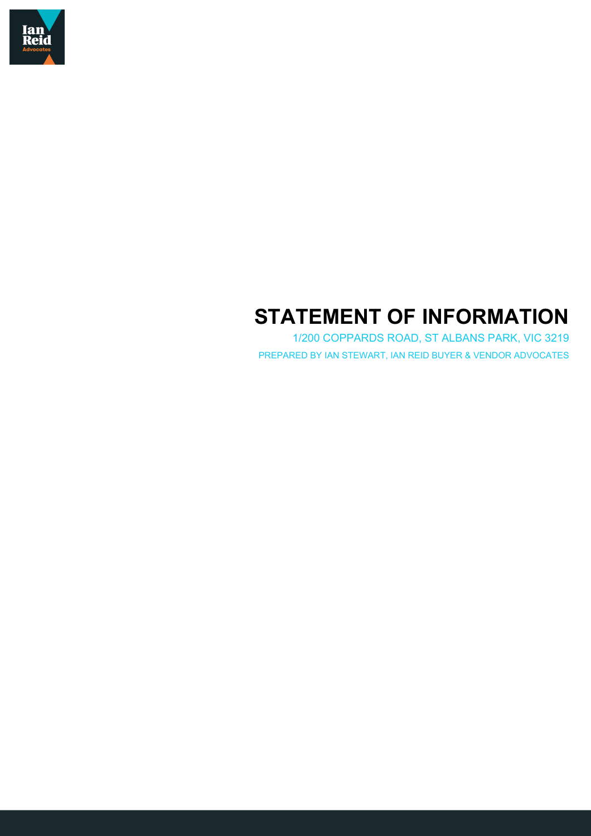

# **STATEMENT OF INFORMATION**

1/200 COPPARDS ROAD, ST ALBANS PARK, VIC 3219 PREPARED BY IAN STEWART, IAN REID BUYER & VENDOR ADVOCATES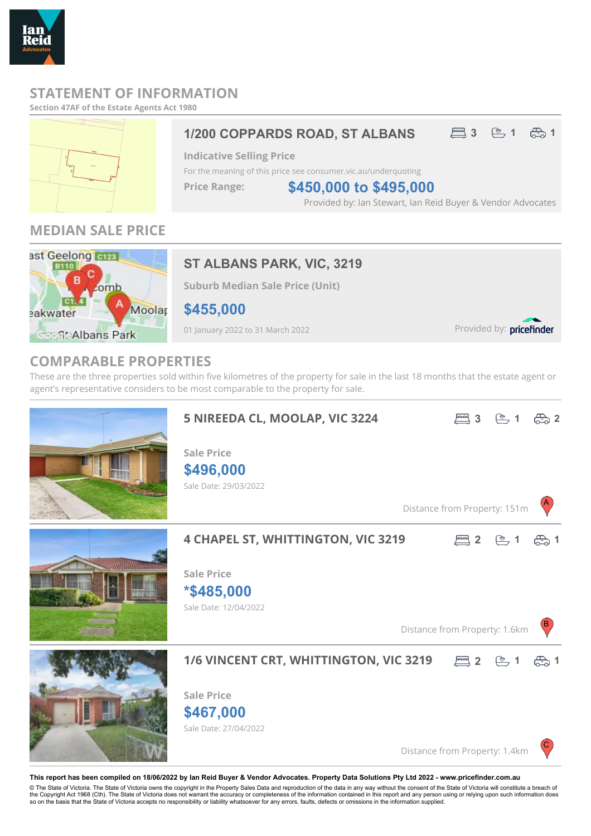

# **STATEMENT OF INFORMATION**

#### **Section 47AF of the Estate Agents Act 1980**



# 1/200 COPPARDS ROAD, ST ALBANS **4.3 4.3 4.3 4.5 4.5**

**Indicative Selling Price**

For the meaning of this price see consumer.vic.au/underquoting

**Price Range:**

**\$450,000 to \$495,000**

Provided by: Ian Stewart, Ian Reid Buyer & Vendor Advocates

# **MEDIAN SALE PRICE**



# **ST ALBANS PARK, VIC, 3219**

**Suburb Median Sale Price (Unit)**

**\$455,000**

01 January 2022 to 31 March 2022

Provided by: pricefinder

### **COMPARABLE PROPERTIES**

These are the three properties sold within five kilometres of the property for sale in the last 18 months that the estate agent or agent's representative considers to be most comparable to the property for sale.



**This report has been compiled on 18/06/2022 by Ian Reid Buyer & Vendor Advocates. Property Data Solutions Pty Ltd 2022 - www.pricefinder.com.au**

© The State of Victoria. The State of Victoria owns the copyright in the Property Sales Data and reproduction of the data in any way without the consent of the State of Victoria will constitute a breach of<br>the Copyright Ac so on the basis that the State of Victoria accepts no responsibility or liability whatsoever for any errors, faults, defects or omissions in the information supplied.